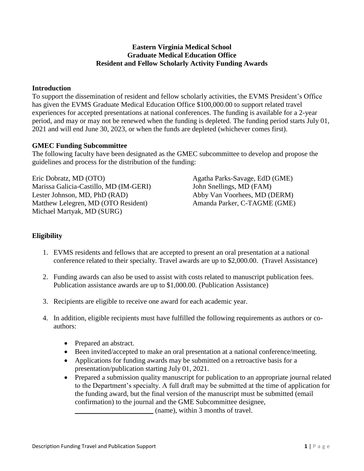## **Eastern Virginia Medical School Graduate Medical Education Office Resident and Fellow Scholarly Activity Funding Awards**

## **Introduction**

To support the dissemination of resident and fellow scholarly activities, the EVMS President's Office has given the EVMS Graduate Medical Education Office \$100,000.00 to support related travel experiences for accepted presentations at national conferences. The funding is available for a 2-year period, and may or may not be renewed when the funding is depleted. The funding period starts July 01, 2021 and will end June 30, 2023, or when the funds are depleted (whichever comes first).

## **GMEC Funding Subcommittee**

The following faculty have been designated as the GMEC subcommittee to develop and propose the guidelines and process for the distribution of the funding:

Eric Dobratz, MD (OTO) Marissa Galicia-Castillo, MD (IM-GERI) Lester Johnson, MD, PhD (RAD) Matthew Lelegren, MD (OTO Resident) Michael Martyak, MD (SURG)

Agatha Parks-Savage, EdD (GME) John Snellings, MD (FAM) Abby Van Voorhees, MD (DERM) Amanda Parker, C-TAGME (GME)

# **Eligibility**

- 1. EVMS residents and fellows that are accepted to present an oral presentation at a national conference related to their specialty. Travel awards are up to \$2,000.00. (Travel Assistance)
- 2. Funding awards can also be used to assist with costs related to manuscript publication fees. Publication assistance awards are up to \$1,000.00. (Publication Assistance)
- 3. Recipients are eligible to receive one award for each academic year.
- 4. In addition, eligible recipients must have fulfilled the following requirements as authors or coauthors:
	- Prepared an abstract.
	- Been invited/accepted to make an oral presentation at a national conference/meeting.
	- Applications for funding awards may be submitted on a retroactive basis for a presentation/publication starting July 01, 2021.
	- Prepared a submission quality manuscript for publication to an appropriate journal related to the Department's specialty. A full draft may be submitted at the time of application for the funding award, but the final version of the manuscript must be submitted (email confirmation) to the journal and the GME Subcommittee designee, \_\_\_\_\_\_\_\_\_\_\_\_\_\_\_\_\_\_\_\_\_\_ (name), within 3 months of travel.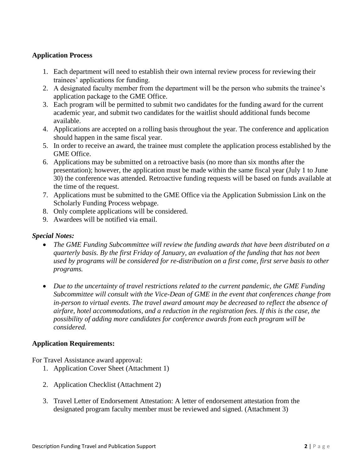## **Application Process**

- 1. Each department will need to establish their own internal review process for reviewing their trainees' applications for funding.
- 2. A designated faculty member from the department will be the person who submits the trainee's application package to the GME Office.
- 3. Each program will be permitted to submit two candidates for the funding award for the current academic year, and submit two candidates for the waitlist should additional funds become available.
- 4. Applications are accepted on a rolling basis throughout the year. The conference and application should happen in the same fiscal year.
- 5. In order to receive an award, the trainee must complete the application process established by the GME Office.
- 6. Applications may be submitted on a retroactive basis (no more than six months after the presentation); however, the application must be made within the same fiscal year (July 1 to June 30) the conference was attended. Retroactive funding requests will be based on funds available at the time of the request.
- 7. Applications must be submitted to the GME Office via the Application Submission Link on the Scholarly Funding Process webpage.
- 8. Only complete applications will be considered.
- 9. Awardees will be notified via email.

#### *Special Notes:*

- *The GME Funding Subcommittee will review the funding awards that have been distributed on a quarterly basis. By the first Friday of January, an evaluation of the funding that has not been used by programs will be considered for re-distribution on a first come, first serve basis to other programs.*
- *Due to the uncertainty of travel restrictions related to the current pandemic, the GME Funding Subcommittee will consult with the Vice-Dean of GME in the event that conferences change from in-person to virtual events. The travel award amount may be decreased to reflect the absence of airfare, hotel accommodations, and a reduction in the registration fees. If this is the case, the possibility of adding more candidates for conference awards from each program will be considered.*

# **Application Requirements:**

For Travel Assistance award approval:

- 1. Application Cover Sheet (Attachment 1)
- 2. Application Checklist (Attachment 2)
- 3. Travel Letter of Endorsement Attestation: A letter of endorsement attestation from the designated program faculty member must be reviewed and signed. (Attachment 3)